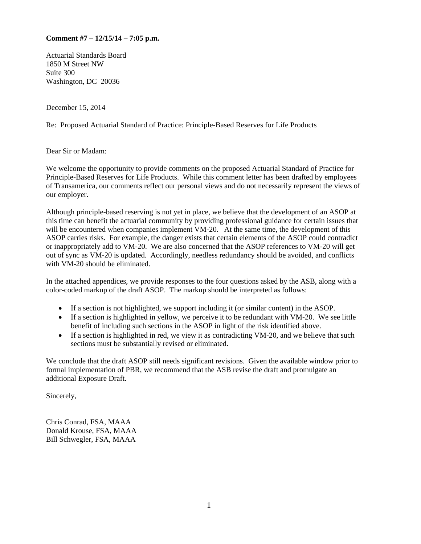## **Comment #7 – 12/15/14 – 7:05 p.m.**

Actuarial Standards Board 1850 M Street NW Suite 300 Washington, DC 20036

December 15, 2014

Re: Proposed Actuarial Standard of Practice: Principle-Based Reserves for Life Products

Dear Sir or Madam:

We welcome the opportunity to provide comments on the proposed Actuarial Standard of Practice for Principle-Based Reserves for Life Products. While this comment letter has been drafted by employees of Transamerica, our comments reflect our personal views and do not necessarily represent the views of our employer.

Although principle-based reserving is not yet in place, we believe that the development of an ASOP at this time can benefit the actuarial community by providing professional guidance for certain issues that will be encountered when companies implement VM-20. At the same time, the development of this ASOP carries risks. For example, the danger exists that certain elements of the ASOP could contradict or inappropriately add to VM-20. We are also concerned that the ASOP references to VM-20 will get out of sync as VM-20 is updated. Accordingly, needless redundancy should be avoided, and conflicts with VM-20 should be eliminated.

In the attached appendices, we provide responses to the four questions asked by the ASB, along with a color-coded markup of the draft ASOP. The markup should be interpreted as follows:

- If a section is not highlighted, we support including it (or similar content) in the ASOP.
- If a section is highlighted in yellow, we perceive it to be redundant with VM-20. We see little benefit of including such sections in the ASOP in light of the risk identified above.
- If a section is highlighted in red, we view it as contradicting VM-20, and we believe that such sections must be substantially revised or eliminated.

We conclude that the draft ASOP still needs significant revisions. Given the available window prior to formal implementation of PBR, we recommend that the ASB revise the draft and promulgate an additional Exposure Draft.

Sincerely,

Chris Conrad, FSA, MAAA Donald Krouse, FSA, MAAA Bill Schwegler, FSA, MAAA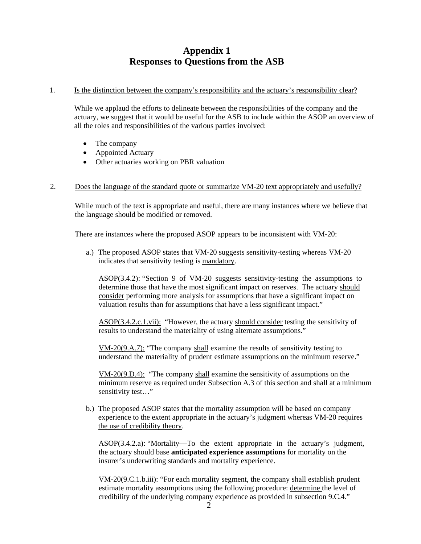# **Appendix 1 Responses to Questions from the ASB**

#### 1. Is the distinction between the company's responsibility and the actuary's responsibility clear?

While we applaud the efforts to delineate between the responsibilities of the company and the actuary, we suggest that it would be useful for the ASB to include within the ASOP an overview of all the roles and responsibilities of the various parties involved:

- The company
- Appointed Actuary
- Other actuaries working on PBR valuation

#### 2. Does the language of the standard quote or summarize VM-20 text appropriately and usefully?

 While much of the text is appropriate and useful, there are many instances where we believe that the language should be modified or removed.

There are instances where the proposed ASOP appears to be inconsistent with VM-20:

a.) The proposed ASOP states that VM-20 suggests sensitivity-testing whereas VM-20 indicates that sensitivity testing is mandatory.

ASOP(3.4.2): "Section 9 of VM-20 suggests sensitivity-testing the assumptions to determine those that have the most significant impact on reserves. The actuary should consider performing more analysis for assumptions that have a significant impact on valuation results than for assumptions that have a less significant impact."

ASOP(3.4.2.c.1.vii): "However, the actuary should consider testing the sensitivity of results to understand the materiality of using alternate assumptions."

VM-20(9.A.7): "The company shall examine the results of sensitivity testing to understand the materiality of prudent estimate assumptions on the minimum reserve."

VM-20(9.D.4): "The company shall examine the sensitivity of assumptions on the minimum reserve as required under Subsection A.3 of this section and shall at a minimum sensitivity test..."

b.) The proposed ASOP states that the mortality assumption will be based on company experience to the extent appropriate in the actuary's judgment whereas VM-20 requires the use of credibility theory.

ASOP(3.4.2.a): "Mortality—To the extent appropriate in the actuary's judgment, the actuary should base **anticipated experience assumptions** for mortality on the insurer's underwriting standards and mortality experience.

VM-20(9.C.1.b.iii): "For each mortality segment, the company shall establish prudent estimate mortality assumptions using the following procedure: determine the level of credibility of the underlying company experience as provided in subsection 9.C.4."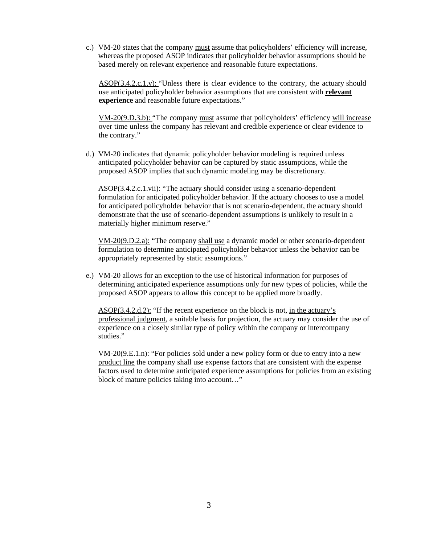c.) VM-20 states that the company must assume that policyholders' efficiency will increase, whereas the proposed ASOP indicates that policyholder behavior assumptions should be based merely on relevant experience and reasonable future expectations.

ASOP(3.4.2.c.1.v): "Unless there is clear evidence to the contrary, the actuary should use anticipated policyholder behavior assumptions that are consistent with **relevant experience** and reasonable future expectations."

VM-20(9.D.3.b): "The company must assume that policyholders' efficiency will increase over time unless the company has relevant and credible experience or clear evidence to the contrary."

d.) VM-20 indicates that dynamic policyholder behavior modeling is required unless anticipated policyholder behavior can be captured by static assumptions, while the proposed ASOP implies that such dynamic modeling may be discretionary.

ASOP(3.4.2.c.1.vii): "The actuary should consider using a scenario-dependent formulation for anticipated policyholder behavior. If the actuary chooses to use a model for anticipated policyholder behavior that is not scenario-dependent, the actuary should demonstrate that the use of scenario-dependent assumptions is unlikely to result in a materially higher minimum reserve."

VM-20(9.D.2.a): "The company shall use a dynamic model or other scenario-dependent formulation to determine anticipated policyholder behavior unless the behavior can be appropriately represented by static assumptions."

e.) VM-20 allows for an exception to the use of historical information for purposes of determining anticipated experience assumptions only for new types of policies, while the proposed ASOP appears to allow this concept to be applied more broadly.

ASOP(3.4.2.d.2): "If the recent experience on the block is not, in the actuary's professional judgment, a suitable basis for projection, the actuary may consider the use of experience on a closely similar type of policy within the company or intercompany studies."

VM-20(9.E.1.n): "For policies sold under a new policy form or due to entry into a new product line the company shall use expense factors that are consistent with the expense factors used to determine anticipated experience assumptions for policies from an existing block of mature policies taking into account…"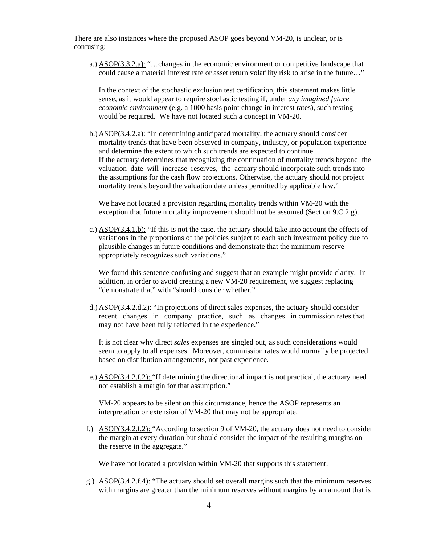There are also instances where the proposed ASOP goes beyond VM-20, is unclear, or is confusing:

a.) ASOP(3.3.2.a): "…changes in the economic environment or competitive landscape that could cause a material interest rate or asset return volatility risk to arise in the future…"

In the context of the stochastic exclusion test certification, this statement makes little sense, as it would appear to require stochastic testing if, under *any imagined future economic environment* (e.g. a 1000 basis point change in interest rates), such testing would be required. We have not located such a concept in VM-20.

b.)ASOP(3.4.2.a): "In determining anticipated mortality, the actuary should consider mortality trends that have been observed in company, industry, or population experience and determine the extent to which such trends are expected to continue. If the actuary determines that recognizing the continuation of mortality trends beyond the valuation date will increase reserves, the actuary should incorporate such trends into the assumptions for the cash flow projections. Otherwise, the actuary should not project mortality trends beyond the valuation date unless permitted by applicable law."

We have not located a provision regarding mortality trends within VM-20 with the exception that future mortality improvement should not be assumed (Section 9.C.2.g).

c.) ASOP(3.4.1.b): "If this is not the case, the actuary should take into account the effects of variations in the proportions of the policies subject to each such investment policy due to plausible changes in future conditions and demonstrate that the minimum reserve appropriately recognizes such variations."

We found this sentence confusing and suggest that an example might provide clarity. In addition, in order to avoid creating a new VM-20 requirement, we suggest replacing "demonstrate that" with "should consider whether."

d.)ASOP(3.4.2.d.2): "In projections of direct sales expenses, the actuary should consider recent changes in company practice, such as changes in commission rates that may not have been fully reflected in the experience."

It is not clear why direct *sales* expenses are singled out, as such considerations would seem to apply to all expenses. Moreover, commission rates would normally be projected based on distribution arrangements, not past experience.

e.) ASOP(3.4.2.f.2): "If determining the directional impact is not practical, the actuary need not establish a margin for that assumption."

VM-20 appears to be silent on this circumstance, hence the ASOP represents an interpretation or extension of VM-20 that may not be appropriate.

f.) ASOP(3.4.2.f.2): "According to section 9 of VM-20, the actuary does not need to consider the margin at every duration but should consider the impact of the resulting margins on the reserve in the aggregate."

We have not located a provision within VM-20 that supports this statement.

g.) ASOP(3.4.2.f.4): "The actuary should set overall margins such that the minimum reserves with margins are greater than the minimum reserves without margins by an amount that is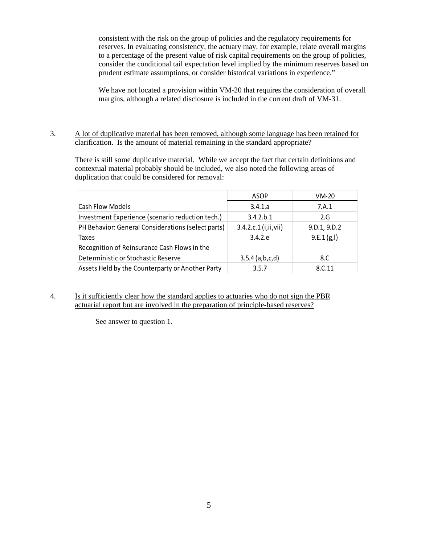consistent with the risk on the group of policies and the regulatory requirements for reserves. In evaluating consistency, the actuary may, for example, relate overall margins to a percentage of the present value of risk capital requirements on the group of policies, consider the conditional tail expectation level implied by the minimum reserves based on prudent estimate assumptions, or consider historical variations in experience."

We have not located a provision within VM-20 that requires the consideration of overall margins, although a related disclosure is included in the current draft of VM-31.

#### 3. A lot of duplicative material has been removed, although some language has been retained for clarification. Is the amount of material remaining in the standard appropriate?

 There is still some duplicative material. While we accept the fact that certain definitions and contextual material probably should be included, we also noted the following areas of duplication that could be considered for removal:

|                                                    | ASOP                   | $VM-20$      |
|----------------------------------------------------|------------------------|--------------|
| Cash Flow Models                                   | 3.4.1.a                | 7.A.1        |
| Investment Experience (scenario reduction tech.)   | 3.4.2 b.1              | 2.G          |
| PH Behavior: General Considerations (select parts) | 3.4.2.c.1 (i, ii, vii) | 9.D.1, 9.D.2 |
| Taxes                                              | 3.4.2.e                | 9.E.1(g, I)  |
| Recognition of Reinsurance Cash Flows in the       |                        |              |
| Deterministic or Stochastic Reserve                | 3.5.4(a,b,c,d)         | 8.C          |
| Assets Held by the Counterparty or Another Party   | 3.5.7                  | 8.C.11       |

4. Is it sufficiently clear how the standard applies to actuaries who do not sign the PBR actuarial report but are involved in the preparation of principle-based reserves?

See answer to question 1.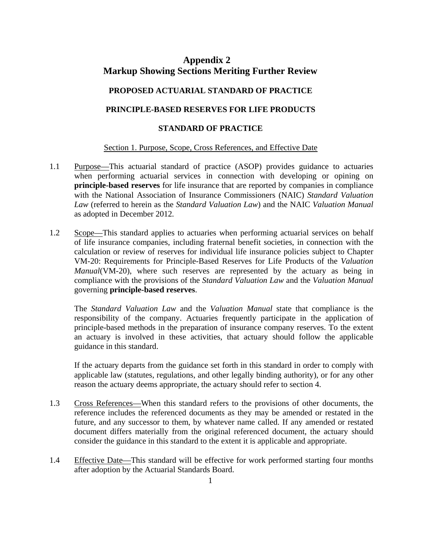## **Appendix 2 Markup Showing Sections Meriting Further Review**

## **PROPOSED ACTUARIAL STANDARD OF PRACTICE**

## **PRINCIPLE-BASED RESERVES FOR LIFE PRODUCTS**

## **STANDARD OF PRACTICE**

## Section 1. Purpose, Scope, Cross References, and Effective Date

- 1.1 Purpose—This actuarial standard of practice (ASOP) provides guidance to actuaries when performing actuarial services in connection with developing or opining on **principle-based reserves** for life insurance that are reported by companies in compliance with the National Association of Insurance Commissioners (NAIC) *Standard Valuation Law* (referred to herein as the *Standard Valuation Law*) and the NAIC *Valuation Manual*  as adopted in December 2012*.*
- 1.2 Scope—This standard applies to actuaries when performing actuarial services on behalf of life insurance companies, including fraternal benefit societies, in connection with the calculation or review of reserves for individual life insurance policies subject to Chapter VM-20: Requirements for Principle-Based Reserves for Life Products of the *Valuation Manual*(VM-20), where such reserves are represented by the actuary as being in compliance with the provisions of the *Standard Valuation Law* and the *Valuation Manual*  governing **principle-based reserves**.

The *Standard Valuation Law* and the *Valuation Manual* state that compliance is the responsibility of the company. Actuaries frequently participate in the application of principle-based methods in the preparation of insurance company reserves. To the extent an actuary is involved in these activities, that actuary should follow the applicable guidance in this standard.

If the actuary departs from the guidance set forth in this standard in order to comply with applicable law (statutes, regulations, and other legally binding authority), or for any other reason the actuary deems appropriate, the actuary should refer to section 4.

- 1.3 Cross References—When this standard refers to the provisions of other documents, the reference includes the referenced documents as they may be amended or restated in the future, and any successor to them, by whatever name called. If any amended or restated document differs materially from the original referenced document, the actuary should consider the guidance in this standard to the extent it is applicable and appropriate.
- 1.4 Effective Date—This standard will be effective for work performed starting four months after adoption by the Actuarial Standards Board.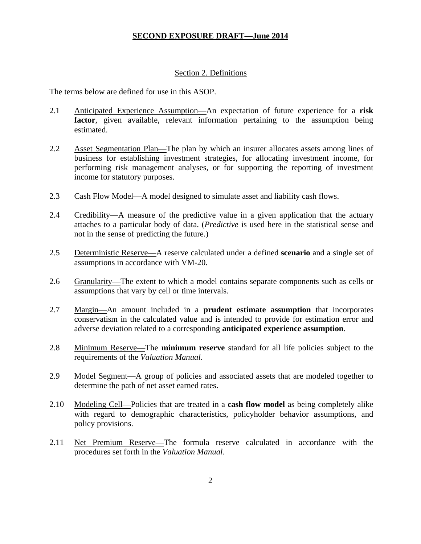#### Section 2. Definitions

The terms below are defined for use in this ASOP.

- 2.1 Anticipated Experience Assumption—An expectation of future experience for a **risk**  factor, given available, relevant information pertaining to the assumption being estimated.
- 2.2 Asset Segmentation Plan—The plan by which an insurer allocates assets among lines of business for establishing investment strategies, for allocating investment income, for performing risk management analyses, or for supporting the reporting of investment income for statutory purposes.
- 2.3 Cash Flow Model—A model designed to simulate asset and liability cash flows.
- 2.4 Credibility—A measure of the predictive value in a given application that the actuary attaches to a particular body of data. (*Predictive* is used here in the statistical sense and not in the sense of predicting the future.)
- 2.5 Deterministic Reserve—A reserve calculated under a defined **scenario** and a single set of assumptions in accordance with VM-20.
- 2.6 Granularity—The extent to which a model contains separate components such as cells or assumptions that vary by cell or time intervals.
- 2.7 Margin—An amount included in a **prudent estimate assumption** that incorporates conservatism in the calculated value and is intended to provide for estimation error and adverse deviation related to a corresponding **anticipated experience assumption**.
- 2.8 Minimum Reserve—The **minimum reserve** standard for all life policies subject to the requirements of the *Valuation Manual*.
- 2.9 Model Segment—A group of policies and associated assets that are modeled together to determine the path of net asset earned rates.
- 2.10 Modeling Cell—Policies that are treated in a **cash flow model** as being completely alike with regard to demographic characteristics, policyholder behavior assumptions, and policy provisions.
- 2.11 Net Premium Reserve—The formula reserve calculated in accordance with the procedures set forth in the *Valuation Manual*.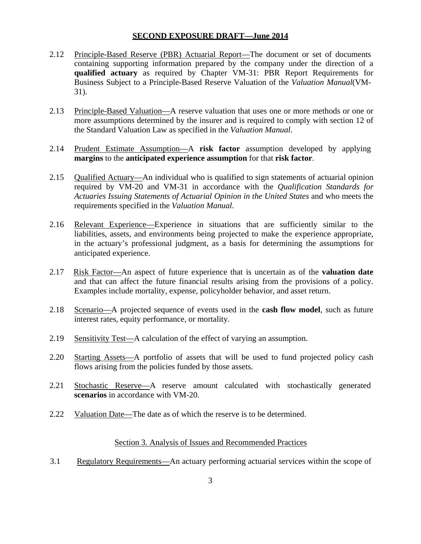- 2.12 Principle-Based Reserve (PBR) Actuarial Report—The document or set of documents containing supporting information prepared by the company under the direction of a **qualified actuary** as required by Chapter VM-31: PBR Report Requirements for Business Subject to a Principle-Based Reserve Valuation of the *Valuation Manual*(VM-31).
- 2.13 Principle-Based Valuation—A reserve valuation that uses one or more methods or one or more assumptions determined by the insurer and is required to comply with section 12 of the Standard Valuation Law as specified in the *Valuation Manual*.
- 2.14 Prudent Estimate Assumption—A **risk factor** assumption developed by applying **margins** to the **anticipated experience assumption** for that **risk factor**.
- 2.15 Qualified Actuary—An individual who is qualified to sign statements of actuarial opinion required by VM-20 and VM-31 in accordance with the *Qualification Standards for Actuaries Issuing Statements of Actuarial Opinion in the United States* and who meets the requirements specified in the *Valuation Manual*.
- 2.16 Relevant Experience—Experience in situations that are sufficiently similar to the liabilities, assets, and environments being projected to make the experience appropriate, in the actuary's professional judgment, as a basis for determining the assumptions for anticipated experience.
- 2.17 Risk Factor—An aspect of future experience that is uncertain as of the **valuation date**  and that can affect the future financial results arising from the provisions of a policy. Examples include mortality, expense, policyholder behavior, and asset return.
- 2.18 Scenario—A projected sequence of events used in the **cash flow model**, such as future interest rates, equity performance, or mortality.
- 2.19 Sensitivity Test—A calculation of the effect of varying an assumption.
- 2.20 Starting Assets—A portfolio of assets that will be used to fund projected policy cash flows arising from the policies funded by those assets.
- 2.21 Stochastic Reserve—A reserve amount calculated with stochastically generated **scenarios** in accordance with VM-20.
- 2.22 Valuation Date—The date as of which the reserve is to be determined.

#### Section 3. Analysis of Issues and Recommended Practices

3.1 Regulatory Requirements—An actuary performing actuarial services within the scope of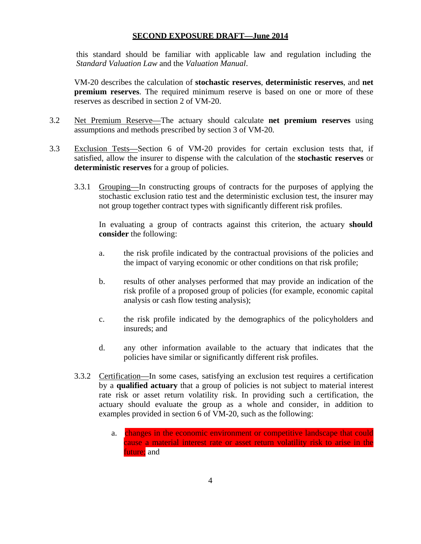this standard should be familiar with applicable law and regulation including the *Standard Valuation Law* and the *Valuation Manual*.

VM-20 describes the calculation of **stochastic reserves**, **deterministic reserves**, and **net premium reserves**. The required minimum reserve is based on one or more of these reserves as described in section 2 of VM-20.

- 3.2 Net Premium Reserve—The actuary should calculate **net premium reserves** using assumptions and methods prescribed by section 3 of VM-20*.*
- 3.3 Exclusion Tests—Section 6 of VM-20 provides for certain exclusion tests that, if satisfied, allow the insurer to dispense with the calculation of the **stochastic reserves** or **deterministic reserves** for a group of policies.
	- 3.3.1 Grouping—In constructing groups of contracts for the purposes of applying the stochastic exclusion ratio test and the deterministic exclusion test, the insurer may not group together contract types with significantly different risk profiles.

In evaluating a group of contracts against this criterion, the actuary **should consider** the following:

- a. the risk profile indicated by the contractual provisions of the policies and the impact of varying economic or other conditions on that risk profile;
- b. results of other analyses performed that may provide an indication of the risk profile of a proposed group of policies (for example, economic capital analysis or cash flow testing analysis);
- c. the risk profile indicated by the demographics of the policyholders and insureds; and
- d. any other information available to the actuary that indicates that the policies have similar or significantly different risk profiles.
- 3.3.2 Certification—In some cases, satisfying an exclusion test requires a certification by a **qualified actuary** that a group of policies is not subject to material interest rate risk or asset return volatility risk. In providing such a certification, the actuary should evaluate the group as a whole and consider, in addition to examples provided in section 6 of VM-20, such as the following:
	- a. changes in the economic environment or competitive landscape that could cause a material interest rate or asset return volatility risk to arise in the future; and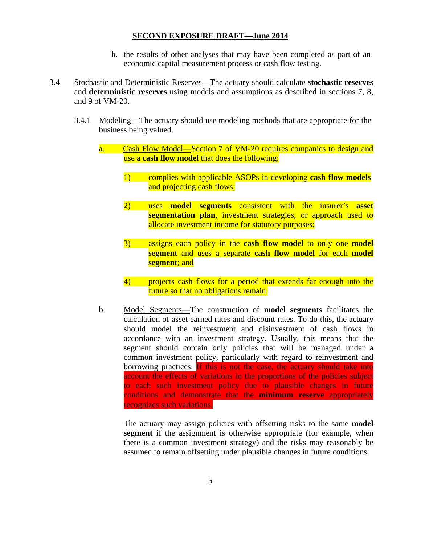- b. the results of other analyses that may have been completed as part of an economic capital measurement process or cash flow testing.
- 3.4 Stochastic and Deterministic Reserves—The actuary should calculate **stochastic reserves**  and **deterministic reserves** using models and assumptions as described in sections 7, 8, and 9 of VM-20.
	- 3.4.1 Modeling—The actuary should use modeling methods that are appropriate for the business being valued.
		- a. Cash Flow Model—Section 7 of VM-20 requires companies to design and use a **cash flow model** that does the following:
			- 1) complies with applicable ASOPs in developing **cash flow models** and projecting cash flows;
			- 2) uses **model segments** consistent with the insurer's **asset segmentation plan**, investment strategies, or approach used to allocate investment income for statutory purposes;
			- 3) assigns each policy in the **cash flow model** to only one **model segment** and uses a separate **cash flow model** for each **model segment**; and
			- 4) projects cash flows for a period that extends far enough into the future so that no obligations remain.
		- b. Model Segments—The construction of **model segments** facilitates the calculation of asset earned rates and discount rates. To do this, the actuary should model the reinvestment and disinvestment of cash flows in accordance with an investment strategy. Usually, this means that the segment should contain only policies that will be managed under a common investment policy, particularly with regard to reinvestment and borrowing practices. If this is not the case, the actuary should take into account the effects of variations in the proportions of the policies subject to each such investment policy due to plausible changes in future conditions and demonstrate that the **minimum reserve** appropriately recognizes such variations.

The actuary may assign policies with offsetting risks to the same **model segment** if the assignment is otherwise appropriate (for example, when there is a common investment strategy) and the risks may reasonably be assumed to remain offsetting under plausible changes in future conditions.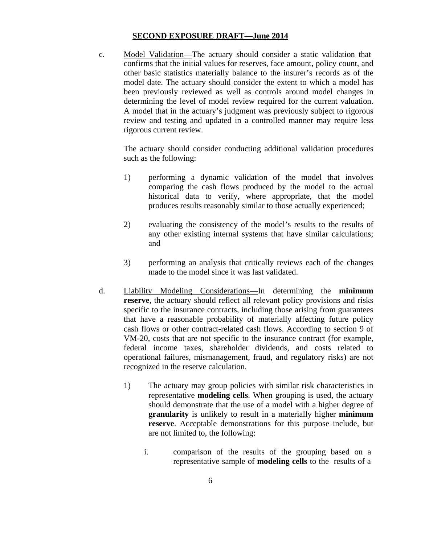c. Model Validation—The actuary should consider a static validation that confirms that the initial values for reserves, face amount, policy count, and other basic statistics materially balance to the insurer's records as of the model date. The actuary should consider the extent to which a model has been previously reviewed as well as controls around model changes in determining the level of model review required for the current valuation. A model that in the actuary's judgment was previously subject to rigorous review and testing and updated in a controlled manner may require less rigorous current review.

The actuary should consider conducting additional validation procedures such as the following:

- 1) performing a dynamic validation of the model that involves comparing the cash flows produced by the model to the actual historical data to verify, where appropriate, that the model produces results reasonably similar to those actually experienced;
- 2) evaluating the consistency of the model's results to the results of any other existing internal systems that have similar calculations; and
- 3) performing an analysis that critically reviews each of the changes made to the model since it was last validated.
- d. Liability Modeling Considerations—In determining the **minimum reserve**, the actuary should reflect all relevant policy provisions and risks specific to the insurance contracts, including those arising from guarantees that have a reasonable probability of materially affecting future policy cash flows or other contract-related cash flows. According to section 9 of VM-20, costs that are not specific to the insurance contract (for example, federal income taxes, shareholder dividends, and costs related to operational failures, mismanagement, fraud, and regulatory risks) are not recognized in the reserve calculation.
	- 1) The actuary may group policies with similar risk characteristics in representative **modeling cells**. When grouping is used, the actuary should demonstrate that the use of a model with a higher degree of **granularity** is unlikely to result in a materially higher **minimum reserve**. Acceptable demonstrations for this purpose include, but are not limited to, the following:
		- i. comparison of the results of the grouping based on a representative sample of **modeling cells** to the results of a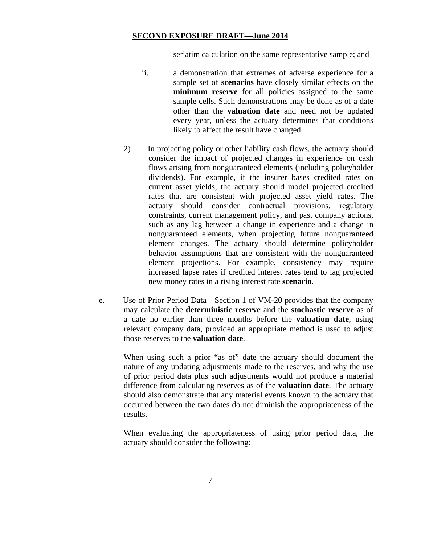seriatim calculation on the same representative sample; and

- ii. a demonstration that extremes of adverse experience for a sample set of **scenarios** have closely similar effects on the **minimum reserve** for all policies assigned to the same sample cells. Such demonstrations may be done as of a date other than the **valuation date** and need not be updated every year, unless the actuary determines that conditions likely to affect the result have changed.
- 2) In projecting policy or other liability cash flows, the actuary should consider the impact of projected changes in experience on cash flows arising from nonguaranteed elements (including policyholder dividends). For example, if the insurer bases credited rates on current asset yields, the actuary should model projected credited rates that are consistent with projected asset yield rates. The actuary should consider contractual provisions, regulatory constraints, current management policy, and past company actions, such as any lag between a change in experience and a change in nonguaranteed elements, when projecting future nonguaranteed element changes. The actuary should determine policyholder behavior assumptions that are consistent with the nonguaranteed element projections. For example, consistency may require increased lapse rates if credited interest rates tend to lag projected new money rates in a rising interest rate **scenario**.
- e. Use of Prior Period Data—Section 1 of VM-20 provides that the company may calculate the **deterministic reserve** and the **stochastic reserve** as of a date no earlier than three months before the **valuation date**, using relevant company data, provided an appropriate method is used to adjust those reserves to the **valuation date**.

When using such a prior "as of" date the actuary should document the nature of any updating adjustments made to the reserves, and why the use of prior period data plus such adjustments would not produce a material difference from calculating reserves as of the **valuation date**. The actuary should also demonstrate that any material events known to the actuary that occurred between the two dates do not diminish the appropriateness of the results.

When evaluating the appropriateness of using prior period data, the actuary should consider the following: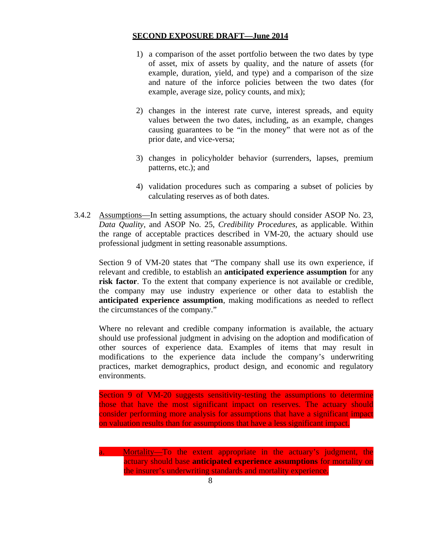- 1) a comparison of the asset portfolio between the two dates by type of asset, mix of assets by quality, and the nature of assets (for example, duration, yield, and type) and a comparison of the size and nature of the inforce policies between the two dates (for example, average size, policy counts, and mix);
- 2) changes in the interest rate curve, interest spreads, and equity values between the two dates, including, as an example, changes causing guarantees to be "in the money" that were not as of the prior date, and vice-versa;
- 3) changes in policyholder behavior (surrenders, lapses, premium patterns, etc.); and
- 4) validation procedures such as comparing a subset of policies by calculating reserves as of both dates.
- 3.4.2 Assumptions—In setting assumptions, the actuary should consider ASOP No. 23, *Data Quality*, and ASOP No. 25, *Credibility Procedures*, as applicable. Within the range of acceptable practices described in VM-20, the actuary should use professional judgment in setting reasonable assumptions.

Section 9 of VM-20 states that "The company shall use its own experience, if relevant and credible, to establish an **anticipated experience assumption** for any **risk factor**. To the extent that company experience is not available or credible, the company may use industry experience or other data to establish the **anticipated experience assumption**, making modifications as needed to reflect the circumstances of the company."

Where no relevant and credible company information is available, the actuary should use professional judgment in advising on the adoption and modification of other sources of experience data. Examples of items that may result in modifications to the experience data include the company's underwriting practices, market demographics, product design, and economic and regulatory environments.

Section 9 of VM-20 suggests sensitivity-testing the assumptions to determine those that have the most significant impact on reserves. The actuary should consider performing more analysis for assumptions that have a significant impact on valuation results than for assumptions that have a less significant impact.

Mortality—To the extent appropriate in the actuary's judgment, the actuary should base **anticipated experience assumptions** for mortality on the insurer's underwriting standards and mortality experience.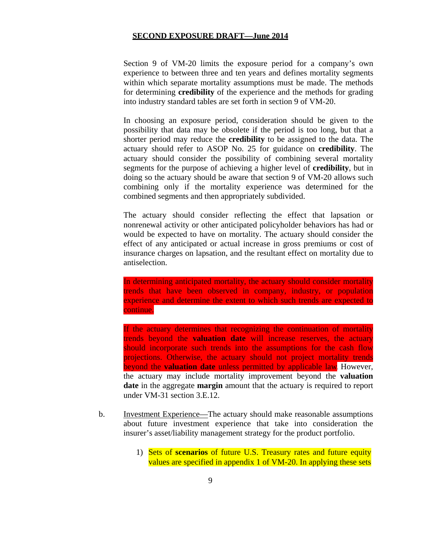Section 9 of VM-20 limits the exposure period for a company's own experience to between three and ten years and defines mortality segments within which separate mortality assumptions must be made. The methods for determining **credibility** of the experience and the methods for grading into industry standard tables are set forth in section 9 of VM-20.

In choosing an exposure period, consideration should be given to the possibility that data may be obsolete if the period is too long, but that a shorter period may reduce the **credibility** to be assigned to the data. The actuary should refer to ASOP No. 25 for guidance on **credibility**. The actuary should consider the possibility of combining several mortality segments for the purpose of achieving a higher level of **credibility**, but in doing so the actuary should be aware that section 9 of VM-20 allows such combining only if the mortality experience was determined for the combined segments and then appropriately subdivided.

The actuary should consider reflecting the effect that lapsation or nonrenewal activity or other anticipated policyholder behaviors has had or would be expected to have on mortality. The actuary should consider the effect of any anticipated or actual increase in gross premiums or cost of insurance charges on lapsation, and the resultant effect on mortality due to antiselection.

In determining anticipated mortality, the actuary should consider mortality trends that have been observed in company, industry, or population experience and determine the extent to which such trends are expected to continue.

If the actuary determines that recognizing the continuation of mortality trends beyond the **valuation date** will increase reserves, the actuary should incorporate such trends into the assumptions for the cash flow projections. Otherwise, the actuary should not project mortality trends beyond the **valuation date** unless permitted by applicable law. However, the actuary may include mortality improvement beyond the **valuation date** in the aggregate **margin** amount that the actuary is required to report under VM-31 section 3.E.12.

- b. Investment Experience—The actuary should make reasonable assumptions about future investment experience that take into consideration the insurer's asset/liability management strategy for the product portfolio.
	- 1) Sets of **scenarios** of future U.S. Treasury rates and future equity values are specified in appendix 1 of VM-20. In applying these sets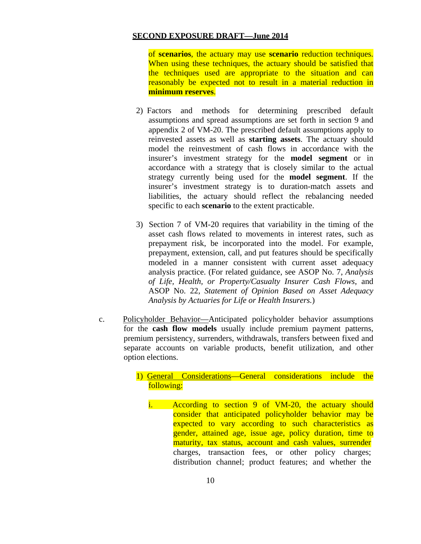of **scenarios**, the actuary may use **scenario** reduction techniques. When using these techniques, the actuary should be satisfied that the techniques used are appropriate to the situation and can reasonably be expected not to result in a material reduction in **minimum reserves**.

- 2) Factors and methods for determining prescribed default assumptions and spread assumptions are set forth in section 9 and appendix 2 of VM-20. The prescribed default assumptions apply to reinvested assets as well as **starting assets**. The actuary should model the reinvestment of cash flows in accordance with the insurer's investment strategy for the **model segment** or in accordance with a strategy that is closely similar to the actual strategy currently being used for the **model segment**. If the insurer's investment strategy is to duration-match assets and liabilities, the actuary should reflect the rebalancing needed specific to each **scenario** to the extent practicable.
- 3) Section 7 of VM-20 requires that variability in the timing of the asset cash flows related to movements in interest rates, such as prepayment risk, be incorporated into the model. For example, prepayment, extension, call, and put features should be specifically modeled in a manner consistent with current asset adequacy analysis practice. (For related guidance, see ASOP No. 7, *Analysis of Life, Health, or Property/Casualty Insurer Cash Flows*, and ASOP No. 22, *Statement of Opinion Based on Asset Adequacy Analysis by Actuaries for Life or Health Insurers.*)
- c. Policyholder Behavior—Anticipated policyholder behavior assumptions for the **cash flow models** usually include premium payment patterns, premium persistency, surrenders, withdrawals, transfers between fixed and separate accounts on variable products, benefit utilization, and other option elections.

## 1) General Considerations—General considerations include the following:

charges, transaction fees, or other policy charges; distribution channel; product features; and whether the i. According to section 9 of VM-20, the actuary should consider that anticipated policyholder behavior may be expected to vary according to such characteristics as gender, attained age, issue age, policy duration, time to maturity, tax status, account and cash values, surrender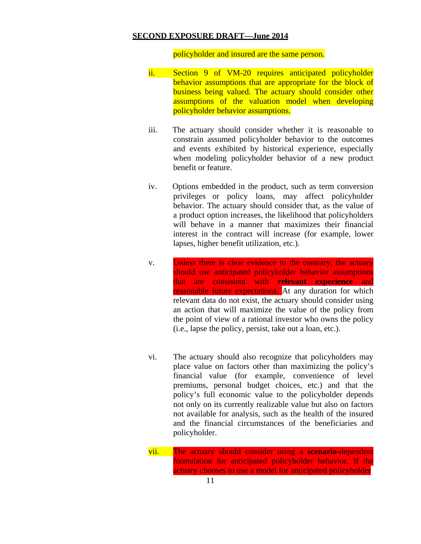policyholder and insured are the same person.

- ii. Section 9 of VM-20 requires anticipated policyholder behavior assumptions that are appropriate for the block of business being valued. The actuary should consider other assumptions of the valuation model when developing policyholder behavior assumptions.
- iii. The actuary should consider whether it is reasonable to constrain assumed policyholder behavior to the outcomes and events exhibited by historical experience, especially when modeling policyholder behavior of a new product benefit or feature.
- iv. Options embedded in the product, such as term conversion privileges or policy loans, may affect policyholder behavior. The actuary should consider that, as the value of a product option increases, the likelihood that policyholders will behave in a manner that maximizes their financial interest in the contract will increase (for example, lower lapses, higher benefit utilization, etc.).
- v. Unless there is clear evidence to the contrary, the actuary should use anticipated policyholder behavior assumptions that are consistent with **relevant experience** and reasonable future expectations. At any duration for which relevant data do not exist, the actuary should consider using an action that will maximize the value of the policy from the point of view of a rational investor who owns the policy (i.e., lapse the policy, persist, take out a loan, etc.).
- vi. The actuary should also recognize that policyholders may place value on factors other than maximizing the policy's financial value (for example, convenience of level premiums, personal budget choices, etc.) and that the policy's full economic value to the policyholder depends not only on its currently realizable value but also on factors not available for analysis, such as the health of the insured and the financial circumstances of the beneficiaries and policyholder.
- vii. The actuary should consider using a **scenario**-dependent formulation for anticipated policyholder behavior. If the actuary chooses to use a model for anticipated policyholder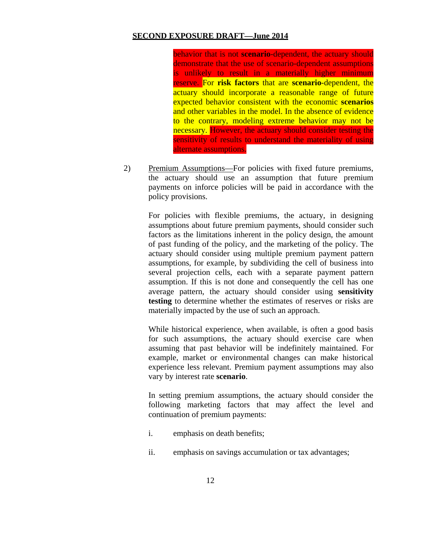behavior that is not **scenario**-dependent, the actuary should demonstrate that the use of scenario-dependent assumptions is unlikely to result in a materially higher minimum reserve. For **risk factors** that are **scenario**-dependent, the actuary should incorporate a reasonable range of future expected behavior consistent with the economic **scenarios**  and other variables in the model. In the absence of evidence to the contrary, modeling extreme behavior may not be necessary. However, the actuary should consider testing the sensitivity of results to understand the materiality of using alternate assumptions.

2) Premium Assumptions—For policies with fixed future premiums, the actuary should use an assumption that future premium payments on inforce policies will be paid in accordance with the policy provisions.

For policies with flexible premiums, the actuary, in designing assumptions about future premium payments, should consider such factors as the limitations inherent in the policy design, the amount of past funding of the policy, and the marketing of the policy. The actuary should consider using multiple premium payment pattern assumptions, for example, by subdividing the cell of business into several projection cells, each with a separate payment pattern assumption. If this is not done and consequently the cell has one average pattern, the actuary should consider using **sensitivity testing** to determine whether the estimates of reserves or risks are materially impacted by the use of such an approach.

While historical experience, when available, is often a good basis for such assumptions, the actuary should exercise care when assuming that past behavior will be indefinitely maintained. For example, market or environmental changes can make historical experience less relevant. Premium payment assumptions may also vary by interest rate **scenario**.

In setting premium assumptions, the actuary should consider the following marketing factors that may affect the level and continuation of premium payments:

- i. emphasis on death benefits;
- ii. emphasis on savings accumulation or tax advantages;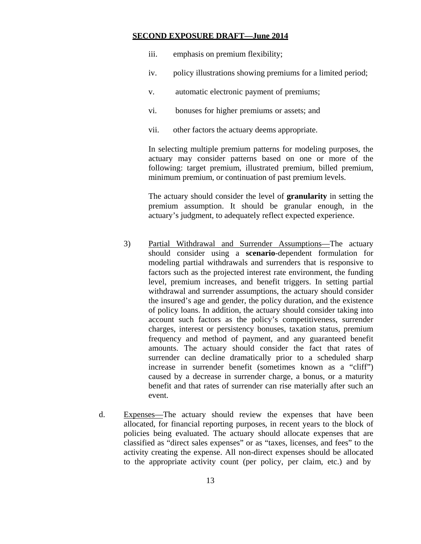- iii. emphasis on premium flexibility;
- iv. policy illustrations showing premiums for a limited period;
- v. automatic electronic payment of premiums;
- vi. bonuses for higher premiums or assets; and
- vii. other factors the actuary deems appropriate.

In selecting multiple premium patterns for modeling purposes, the actuary may consider patterns based on one or more of the following: target premium, illustrated premium, billed premium, minimum premium, or continuation of past premium levels.

The actuary should consider the level of **granularity** in setting the premium assumption. It should be granular enough, in the actuary's judgment, to adequately reflect expected experience.

- 3) Partial Withdrawal and Surrender Assumptions—The actuary should consider using a **scenario**-dependent formulation for modeling partial withdrawals and surrenders that is responsive to factors such as the projected interest rate environment, the funding level, premium increases, and benefit triggers. In setting partial withdrawal and surrender assumptions, the actuary should consider the insured's age and gender, the policy duration, and the existence of policy loans. In addition, the actuary should consider taking into account such factors as the policy's competitiveness, surrender charges, interest or persistency bonuses, taxation status, premium frequency and method of payment, and any guaranteed benefit amounts. The actuary should consider the fact that rates of surrender can decline dramatically prior to a scheduled sharp increase in surrender benefit (sometimes known as a "cliff") caused by a decrease in surrender charge, a bonus, or a maturity benefit and that rates of surrender can rise materially after such an event.
- d. Expenses—The actuary should review the expenses that have been allocated, for financial reporting purposes, in recent years to the block of policies being evaluated. The actuary should allocate expenses that are classified as "direct sales expenses" or as "taxes, licenses, and fees" to the activity creating the expense. All non-direct expenses should be allocated to the appropriate activity count (per policy, per claim, etc.) and by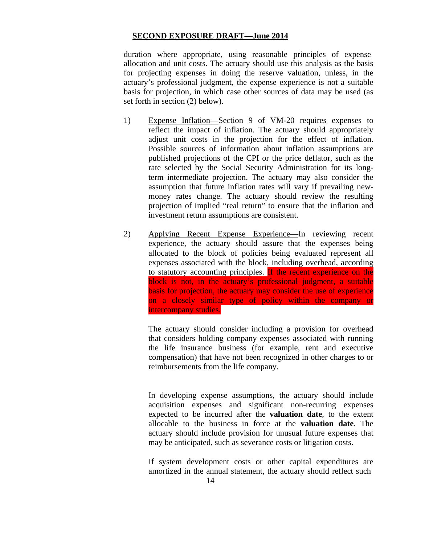duration where appropriate, using reasonable principles of expense allocation and unit costs. The actuary should use this analysis as the basis for projecting expenses in doing the reserve valuation, unless, in the actuary's professional judgment, the expense experience is not a suitable basis for projection, in which case other sources of data may be used (as set forth in section (2) below).

- 1) Expense Inflation—Section 9 of VM-20 requires expenses to reflect the impact of inflation. The actuary should appropriately adjust unit costs in the projection for the effect of inflation. Possible sources of information about inflation assumptions are published projections of the CPI or the price deflator, such as the rate selected by the Social Security Administration for its longterm intermediate projection. The actuary may also consider the assumption that future inflation rates will vary if prevailing newmoney rates change. The actuary should review the resulting projection of implied "real return" to ensure that the inflation and investment return assumptions are consistent.
- 2) Applying Recent Expense Experience—In reviewing recent experience, the actuary should assure that the expenses being allocated to the block of policies being evaluated represent all expenses associated with the block, including overhead, according to statutory accounting principles. If the recent experience on the block is not, in the actuary's professional judgment, a suitable basis for projection, the actuary may consider the use of experience on a closely similar type of policy within the company or intercompany studies.

The actuary should consider including a provision for overhead that considers holding company expenses associated with running the life insurance business (for example, rent and executive compensation) that have not been recognized in other charges to or reimbursements from the life company.

In developing expense assumptions, the actuary should include acquisition expenses and significant non-recurring expenses expected to be incurred after the **valuation date**, to the extent allocable to the business in force at the **valuation date**. The actuary should include provision for unusual future expenses that may be anticipated, such as severance costs or litigation costs.

If system development costs or other capital expenditures are amortized in the annual statement, the actuary should reflect such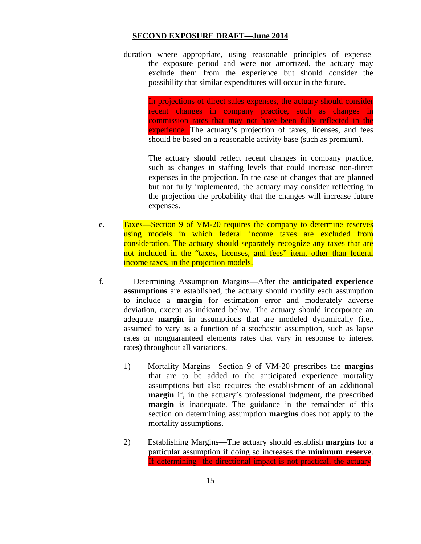duration where appropriate, using reasonable principles of expense the exposure period and were not amortized, the actuary may exclude them from the experience but should consider the possibility that similar expenditures will occur in the future.

> In projections of direct sales expenses, the actuary should consider recent changes in company practice, such as changes in commission rates that may not have been fully reflected in the experience. The actuary's projection of taxes, licenses, and fees should be based on a reasonable activity base (such as premium).

> The actuary should reflect recent changes in company practice, such as changes in staffing levels that could increase non-direct expenses in the projection. In the case of changes that are planned but not fully implemented, the actuary may consider reflecting in the projection the probability that the changes will increase future expenses.

- e. Taxes—Section 9 of VM-20 requires the company to determine reserves using models in which federal income taxes are excluded from consideration. The actuary should separately recognize any taxes that are not included in the "taxes, licenses, and fees" item, other than federal income taxes, in the projection models.
- f. Determining Assumption Margins—After the **anticipated experience assumptions** are established, the actuary should modify each assumption to include a **margin** for estimation error and moderately adverse deviation, except as indicated below. The actuary should incorporate an adequate **margin** in assumptions that are modeled dynamically (i.e., assumed to vary as a function of a stochastic assumption, such as lapse rates or nonguaranteed elements rates that vary in response to interest rates) throughout all variations.
	- 1) Mortality Margins—Section 9 of VM-20 prescribes the **margins**  that are to be added to the anticipated experience mortality assumptions but also requires the establishment of an additional **margin** if, in the actuary's professional judgment, the prescribed **margin** is inadequate. The guidance in the remainder of this section on determining assumption **margins** does not apply to the mortality assumptions.
	- 2) Establishing Margins—The actuary should establish **margins** for a particular assumption if doing so increases the **minimum reserve**. If determining the directional impact is not practical, the actuary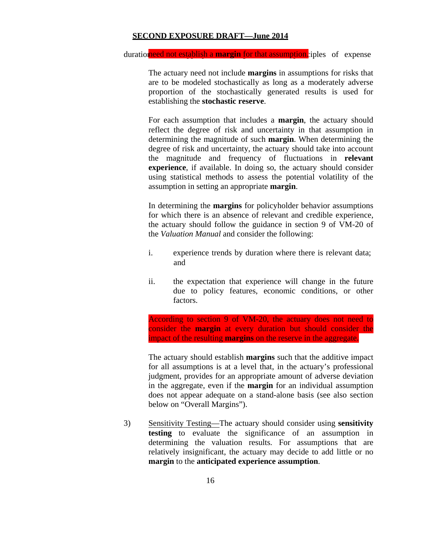duration ered not establish a **margin** for that assumption. iples of expense

The actuary need not include **margins** in assumptions for risks that are to be modeled stochastically as long as a moderately adverse proportion of the stochastically generated results is used for establishing the **stochastic reserve**.

For each assumption that includes a **margin**, the actuary should reflect the degree of risk and uncertainty in that assumption in determining the magnitude of such **margin**. When determining the degree of risk and uncertainty, the actuary should take into account the magnitude and frequency of fluctuations in **relevant experience**, if available. In doing so, the actuary should consider using statistical methods to assess the potential volatility of the assumption in setting an appropriate **margin**.

In determining the **margins** for policyholder behavior assumptions for which there is an absence of relevant and credible experience, the actuary should follow the guidance in section 9 of VM-20 of the *Valuation Manual* and consider the following:

- i. experience trends by duration where there is relevant data; and
- ii. the expectation that experience will change in the future due to policy features, economic conditions, or other factors.

According to section 9 of VM-20, the actuary does not need to consider the **margin** at every duration but should consider the impact of the resulting **margins** on the reserve in the aggregate.

The actuary should establish **margins** such that the additive impact for all assumptions is at a level that, in the actuary's professional judgment, provides for an appropriate amount of adverse deviation in the aggregate, even if the **margin** for an individual assumption does not appear adequate on a stand-alone basis (see also section below on "Overall Margins").

3) Sensitivity Testing—The actuary should consider using **sensitivity testing** to evaluate the significance of an assumption in determining the valuation results. For assumptions that are relatively insignificant, the actuary may decide to add little or no **margin** to the **anticipated experience assumption**.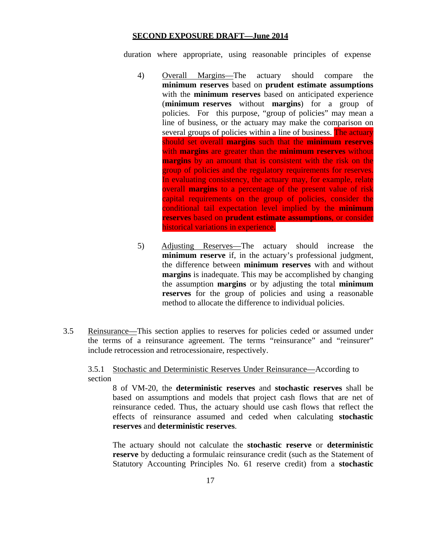duration where appropriate, using reasonable principles of expense

- 4) Overall Margins—The actuary should compare the **minimum reserves** based on **prudent estimate assumptions**  with the **minimum reserves** based on anticipated experience (**minimum reserves** without **margins**) for a group of policies. For this purpose, "group of policies" may mean a line of business, or the actuary may make the comparison on several groups of policies within a line of business. The actuary should set overall **margins** such that the **minimum reserves**  with **margins** are greater than the **minimum reserves** without **margins** by an amount that is consistent with the risk on the group of policies and the regulatory requirements for reserves. In evaluating consistency, the actuary may, for example, relate overall **margins** to a percentage of the present value of risk capital requirements on the group of policies, consider the conditional tail expectation level implied by the **minimum reserves** based on **prudent estimate assumptions**, or consider historical variations in experience.
- 5) Adjusting Reserves—The actuary should increase the **minimum reserve** if, in the actuary's professional judgment, the difference between **minimum reserves** with and without **margins** is inadequate. This may be accomplished by changing the assumption **margins** or by adjusting the total **minimum reserves** for the group of policies and using a reasonable method to allocate the difference to individual policies.
- 3.5 Reinsurance—This section applies to reserves for policies ceded or assumed under the terms of a reinsurance agreement. The terms "reinsurance" and "reinsurer" include retrocession and retrocessionaire, respectively.

## 3.5.1 Stochastic and Deterministic Reserves Under Reinsurance—According to section

8 of VM-20, the **deterministic reserves** and **stochastic reserves** shall be based on assumptions and models that project cash flows that are net of reinsurance ceded. Thus, the actuary should use cash flows that reflect the effects of reinsurance assumed and ceded when calculating **stochastic reserves** and **deterministic reserves**.

The actuary should not calculate the **stochastic reserve** or **deterministic reserve** by deducting a formulaic reinsurance credit (such as the Statement of Statutory Accounting Principles No. 61 reserve credit) from a **stochastic**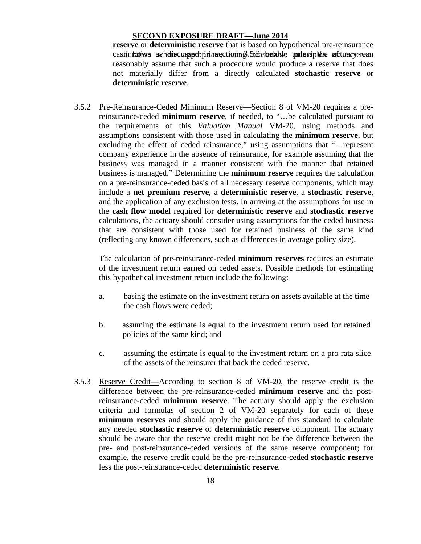cash ufation avhelis cuaspolo priate, ctioning 5.5.2 as belable unless plebe actuary ensem**reserve** or **deterministic reserve** that is based on hypothetical pre-reinsurance reasonably assume that such a procedure would produce a reserve that does not materially differ from a directly calculated **stochastic reserve** or **deterministic reserve**.

3.5.2 Pre-Reinsurance-Ceded Minimum Reserve—Section 8 of VM-20 requires a prereinsurance-ceded **minimum reserve**, if needed, to "…be calculated pursuant to the requirements of this *Valuation Manual* VM-20, using methods and assumptions consistent with those used in calculating the **minimum reserve**, but excluding the effect of ceded reinsurance," using assumptions that "…represent company experience in the absence of reinsurance, for example assuming that the business was managed in a manner consistent with the manner that retained business is managed." Determining the **minimum reserve** requires the calculation on a pre-reinsurance-ceded basis of all necessary reserve components, which may include a **net premium reserve**, a **deterministic reserve**, a **stochastic reserve**, and the application of any exclusion tests. In arriving at the assumptions for use in the **cash flow model** required for **deterministic reserve** and **stochastic reserve**  calculations, the actuary should consider using assumptions for the ceded business that are consistent with those used for retained business of the same kind (reflecting any known differences, such as differences in average policy size).

The calculation of pre-reinsurance-ceded **minimum reserves** requires an estimate of the investment return earned on ceded assets. Possible methods for estimating this hypothetical investment return include the following:

- a. basing the estimate on the investment return on assets available at the time the cash flows were ceded;
- b. assuming the estimate is equal to the investment return used for retained policies of the same kind; and
- c. assuming the estimate is equal to the investment return on a pro rata slice of the assets of the reinsurer that back the ceded reserve.
- 3.5.3 Reserve Credit—According to section 8 of VM-20, the reserve credit is the difference between the pre-reinsurance-ceded **minimum reserve** and the postreinsurance-ceded **minimum reserve**. The actuary should apply the exclusion criteria and formulas of section 2 of VM-20 separately for each of these **minimum reserves** and should apply the guidance of this standard to calculate any needed **stochastic reserve** or **deterministic reserve** component. The actuary should be aware that the reserve credit might not be the difference between the pre- and post-reinsurance-ceded versions of the same reserve component; for example, the reserve credit could be the pre-reinsurance-ceded **stochastic reserve**  less the post-reinsurance-ceded **deterministic reserve**.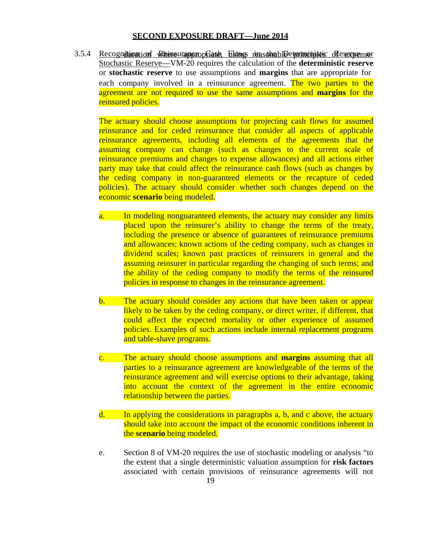3.5.4 Recognition in Reinsurance Cash Flows reasonable to ministic Reservenser Stochastic Reserve—VM-20 requires the calculation of the **deterministic reserve**  or **stochastic reserve** to use assumptions and **margins** that are appropriate for each company involved in a reinsurance agreement. The two parties to the agreement are not required to use the same assumptions and **margins** for the reinsured policies.

The actuary should choose assumptions for projecting cash flows for assumed reinsurance and for ceded reinsurance that consider all aspects of applicable reinsurance agreements, including all elements of the agreements that the assuming company can change (such as changes to the current scale of reinsurance premiums and changes to expense allowances) and all actions either party may take that could affect the reinsurance cash flows (such as changes by the ceding company in non-guaranteed elements or the recapture of ceded policies). The actuary should consider whether such changes depend on the economic **scenario** being modeled.

- a. In modeling nonguaranteed elements, the actuary may consider any limits placed upon the reinsurer's ability to change the terms of the treaty, including the presence or absence of guarantees of reinsurance premiums and allowances; known actions of the ceding company, such as changes in dividend scales; known past practices of reinsurers in general and the assuming reinsurer in particular regarding the changing of such terms; and the ability of the ceding company to modify the terms of the reinsured policies in response to changes in the reinsurance agreement.
- b. The actuary should consider any actions that have been taken or appear likely to be taken by the ceding company, or direct writer, if different, that could affect the expected mortality or other experience of assumed policies. Examples of such actions include internal replacement programs and table-shave programs.
- c. The actuary should choose assumptions and **margins** assuming that all parties to a reinsurance agreement are knowledgeable of the terms of the reinsurance agreement and will exercise options to their advantage, taking into account the context of the agreement in the entire economic relationship between the parties.
- d. In applying the considerations in paragraphs a, b, and c above, the actuary should take into account the impact of the economic conditions inherent in the **scenario** being modeled.
- e. Section 8 of VM-20 requires the use of stochastic modeling or analysis "to the extent that a single deterministic valuation assumption for **risk factors**  associated with certain provisions of reinsurance agreements will not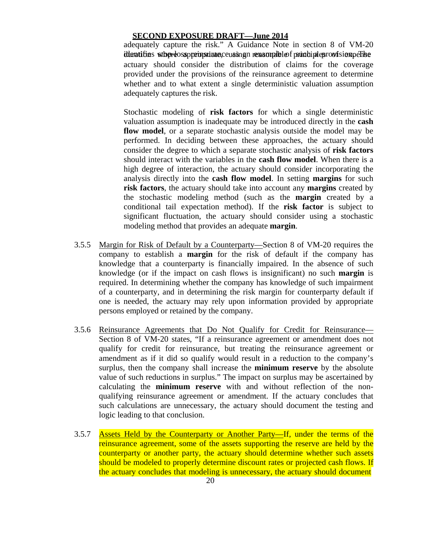identifies stop-loss preinsurate, cusing nexample of principles roofsion per le adequately capture the risk." A Guidance Note in section 8 of VM-20 actuary should consider the distribution of claims for the coverage provided under the provisions of the reinsurance agreement to determine whether and to what extent a single deterministic valuation assumption adequately captures the risk.

Stochastic modeling of **risk factors** for which a single deterministic valuation assumption is inadequate may be introduced directly in the **cash flow model**, or a separate stochastic analysis outside the model may be performed. In deciding between these approaches, the actuary should consider the degree to which a separate stochastic analysis of **risk factors**  should interact with the variables in the **cash flow model**. When there is a high degree of interaction, the actuary should consider incorporating the analysis directly into the **cash flow model**. In setting **margins** for such **risk factors**, the actuary should take into account any **margins** created by the stochastic modeling method (such as the **margin** created by a conditional tail expectation method). If the **risk factor** is subject to significant fluctuation, the actuary should consider using a stochastic modeling method that provides an adequate **margin**.

- 3.5.5 Margin for Risk of Default by a Counterparty—Section 8 of VM-20 requires the company to establish a **margin** for the risk of default if the company has knowledge that a counterparty is financially impaired. In the absence of such knowledge (or if the impact on cash flows is insignificant) no such **margin** is required. In determining whether the company has knowledge of such impairment of a counterparty, and in determining the risk margin for counterparty default if one is needed, the actuary may rely upon information provided by appropriate persons employed or retained by the company.
- 3.5.6 Reinsurance Agreements that Do Not Qualify for Credit for Reinsurance— Section 8 of VM-20 states, "If a reinsurance agreement or amendment does not qualify for credit for reinsurance, but treating the reinsurance agreement or amendment as if it did so qualify would result in a reduction to the company's surplus, then the company shall increase the **minimum reserve** by the absolute value of such reductions in surplus." The impact on surplus may be ascertained by calculating the **minimum reserve** with and without reflection of the nonqualifying reinsurance agreement or amendment. If the actuary concludes that such calculations are unnecessary, the actuary should document the testing and logic leading to that conclusion.
- 3.5.7 Assets Held by the Counterparty or Another Party—If, under the terms of the reinsurance agreement, some of the assets supporting the reserve are held by the counterparty or another party, the actuary should determine whether such assets should be modeled to properly determine discount rates or projected cash flows. If the actuary concludes that modeling is unnecessary, the actuary should document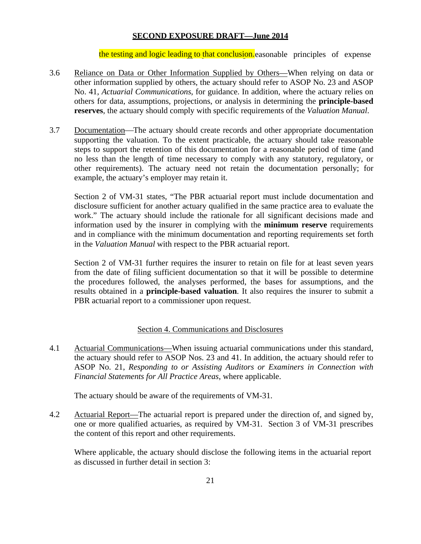the testing and logic leading to that conclusion easonable principles of expense

- 3.6 Reliance on Data or Other Information Supplied by Others—When relying on data or other information supplied by others, the actuary should refer to ASOP No. 23 and ASOP No. 41, *Actuarial Communications*, for guidance. In addition, where the actuary relies on others for data, assumptions, projections, or analysis in determining the **principle-based reserves**, the actuary should comply with specific requirements of the *Valuation Manual*.
- 3.7 Documentation—The actuary should create records and other appropriate documentation supporting the valuation. To the extent practicable, the actuary should take reasonable steps to support the retention of this documentation for a reasonable period of time (and no less than the length of time necessary to comply with any statutory, regulatory, or other requirements). The actuary need not retain the documentation personally; for example, the actuary's employer may retain it.

Section 2 of VM-31 states, "The PBR actuarial report must include documentation and disclosure sufficient for another actuary qualified in the same practice area to evaluate the work." The actuary should include the rationale for all significant decisions made and information used by the insurer in complying with the **minimum reserve** requirements and in compliance with the minimum documentation and reporting requirements set forth in the *Valuation Manual* with respect to the PBR actuarial report.

Section 2 of VM-31 further requires the insurer to retain on file for at least seven years from the date of filing sufficient documentation so that it will be possible to determine the procedures followed, the analyses performed, the bases for assumptions, and the results obtained in a **principle-based valuation**. It also requires the insurer to submit a PBR actuarial report to a commissioner upon request.

#### Section 4. Communications and Disclosures

4.1 Actuarial Communications—When issuing actuarial communications under this standard, the actuary should refer to ASOP Nos. 23 and 41. In addition, the actuary should refer to ASOP No. 21, *Responding to or Assisting Auditors or Examiners in Connection with Financial Statements for All Practice Areas*, where applicable.

The actuary should be aware of the requirements of VM-31.

4.2 Actuarial Report—The actuarial report is prepared under the direction of, and signed by, one or more qualified actuaries, as required by VM-31. Section 3 of VM-31 prescribes the content of this report and other requirements.

Where applicable, the actuary should disclose the following items in the actuarial report as discussed in further detail in section 3: